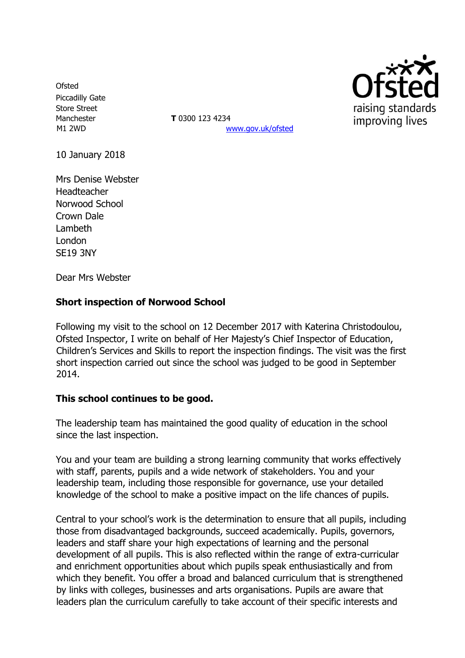**Ofsted** Piccadilly Gate Store Street Manchester **T** 0300 123 4234

M1 2WD [www.gov.uk/ofsted](http://www.gov.uk/ofsted)



10 January 2018

Mrs Denise Webster **Headteacher** Norwood School Crown Dale Lambeth London SE19 3NY

Dear Mrs Webster

### **Short inspection of Norwood School**

Following my visit to the school on 12 December 2017 with Katerina Christodoulou, Ofsted Inspector, I write on behalf of Her Majesty's Chief Inspector of Education, Children's Services and Skills to report the inspection findings. The visit was the first short inspection carried out since the school was judged to be good in September 2014.

### **This school continues to be good.**

The leadership team has maintained the good quality of education in the school since the last inspection.

You and your team are building a strong learning community that works effectively with staff, parents, pupils and a wide network of stakeholders. You and your leadership team, including those responsible for governance, use your detailed knowledge of the school to make a positive impact on the life chances of pupils.

Central to your school's work is the determination to ensure that all pupils, including those from disadvantaged backgrounds, succeed academically. Pupils, governors, leaders and staff share your high expectations of learning and the personal development of all pupils. This is also reflected within the range of extra-curricular and enrichment opportunities about which pupils speak enthusiastically and from which they benefit. You offer a broad and balanced curriculum that is strengthened by links with colleges, businesses and arts organisations. Pupils are aware that leaders plan the curriculum carefully to take account of their specific interests and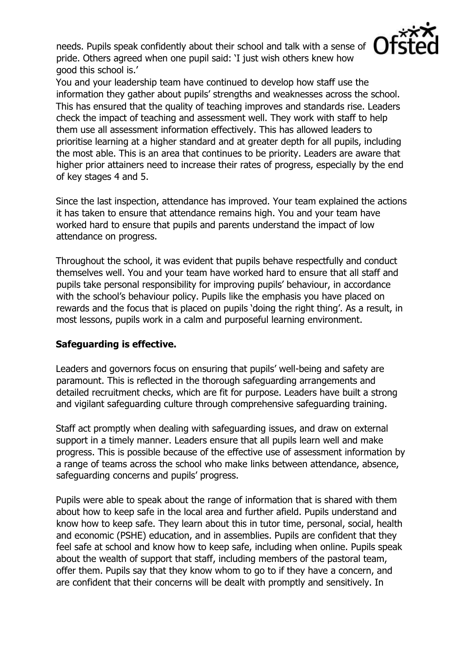needs. Pupils speak confidently about their school and talk with a sense of pride. Others agreed when one pupil said: 'I just wish others knew how good this school is.'



You and your leadership team have continued to develop how staff use the information they gather about pupils' strengths and weaknesses across the school. This has ensured that the quality of teaching improves and standards rise. Leaders check the impact of teaching and assessment well. They work with staff to help them use all assessment information effectively. This has allowed leaders to prioritise learning at a higher standard and at greater depth for all pupils, including the most able. This is an area that continues to be priority. Leaders are aware that higher prior attainers need to increase their rates of progress, especially by the end of key stages 4 and 5.

Since the last inspection, attendance has improved. Your team explained the actions it has taken to ensure that attendance remains high. You and your team have worked hard to ensure that pupils and parents understand the impact of low attendance on progress.

Throughout the school, it was evident that pupils behave respectfully and conduct themselves well. You and your team have worked hard to ensure that all staff and pupils take personal responsibility for improving pupils' behaviour, in accordance with the school's behaviour policy. Pupils like the emphasis you have placed on rewards and the focus that is placed on pupils 'doing the right thing'. As a result, in most lessons, pupils work in a calm and purposeful learning environment.

### **Safeguarding is effective.**

Leaders and governors focus on ensuring that pupils' well-being and safety are paramount. This is reflected in the thorough safeguarding arrangements and detailed recruitment checks, which are fit for purpose. Leaders have built a strong and vigilant safeguarding culture through comprehensive safeguarding training.

Staff act promptly when dealing with safeguarding issues, and draw on external support in a timely manner. Leaders ensure that all pupils learn well and make progress. This is possible because of the effective use of assessment information by a range of teams across the school who make links between attendance, absence, safeguarding concerns and pupils' progress.

Pupils were able to speak about the range of information that is shared with them about how to keep safe in the local area and further afield. Pupils understand and know how to keep safe. They learn about this in tutor time, personal, social, health and economic (PSHE) education, and in assemblies. Pupils are confident that they feel safe at school and know how to keep safe, including when online. Pupils speak about the wealth of support that staff, including members of the pastoral team, offer them. Pupils say that they know whom to go to if they have a concern, and are confident that their concerns will be dealt with promptly and sensitively. In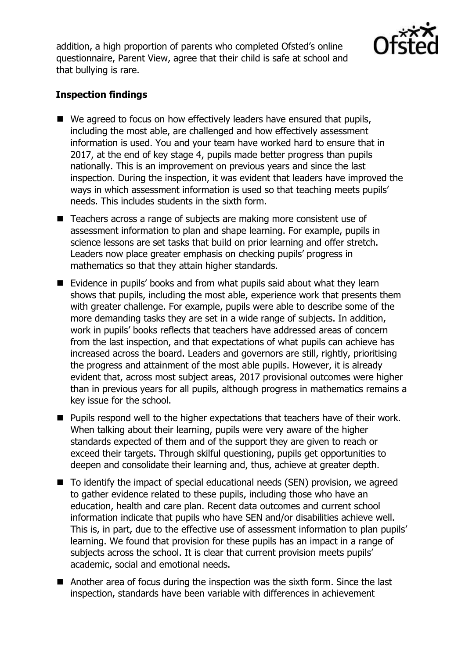addition, a high proportion of parents who completed Ofsted's online questionnaire, Parent View, agree that their child is safe at school and that bullying is rare.



## **Inspection findings**

- We agreed to focus on how effectively leaders have ensured that pupils, including the most able, are challenged and how effectively assessment information is used. You and your team have worked hard to ensure that in 2017, at the end of key stage 4, pupils made better progress than pupils nationally. This is an improvement on previous years and since the last inspection. During the inspection, it was evident that leaders have improved the ways in which assessment information is used so that teaching meets pupils' needs. This includes students in the sixth form.
- Teachers across a range of subjects are making more consistent use of assessment information to plan and shape learning. For example, pupils in science lessons are set tasks that build on prior learning and offer stretch. Leaders now place greater emphasis on checking pupils' progress in mathematics so that they attain higher standards.
- Evidence in pupils' books and from what pupils said about what they learn shows that pupils, including the most able, experience work that presents them with greater challenge. For example, pupils were able to describe some of the more demanding tasks they are set in a wide range of subjects. In addition, work in pupils' books reflects that teachers have addressed areas of concern from the last inspection, and that expectations of what pupils can achieve has increased across the board. Leaders and governors are still, rightly, prioritising the progress and attainment of the most able pupils. However, it is already evident that, across most subject areas, 2017 provisional outcomes were higher than in previous years for all pupils, although progress in mathematics remains a key issue for the school.
- **Pupils respond well to the higher expectations that teachers have of their work.** When talking about their learning, pupils were very aware of the higher standards expected of them and of the support they are given to reach or exceed their targets. Through skilful questioning, pupils get opportunities to deepen and consolidate their learning and, thus, achieve at greater depth.
- To identify the impact of special educational needs (SEN) provision, we agreed to gather evidence related to these pupils, including those who have an education, health and care plan. Recent data outcomes and current school information indicate that pupils who have SEN and/or disabilities achieve well. This is, in part, due to the effective use of assessment information to plan pupils' learning. We found that provision for these pupils has an impact in a range of subjects across the school. It is clear that current provision meets pupils' academic, social and emotional needs.
- Another area of focus during the inspection was the sixth form. Since the last inspection, standards have been variable with differences in achievement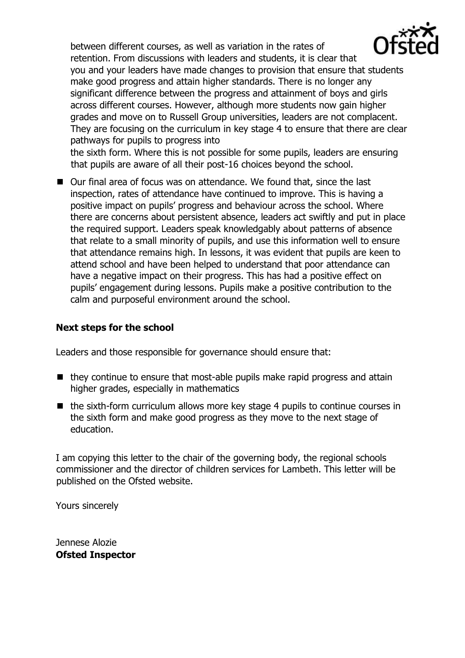between different courses, as well as variation in the rates of retention. From discussions with leaders and students, it is clear that



you and your leaders have made changes to provision that ensure that students make good progress and attain higher standards. There is no longer any significant difference between the progress and attainment of boys and girls across different courses. However, although more students now gain higher grades and move on to Russell Group universities, leaders are not complacent. They are focusing on the curriculum in key stage 4 to ensure that there are clear pathways for pupils to progress into

the sixth form. Where this is not possible for some pupils, leaders are ensuring that pupils are aware of all their post-16 choices beyond the school.

■ Our final area of focus was on attendance. We found that, since the last inspection, rates of attendance have continued to improve. This is having a positive impact on pupils' progress and behaviour across the school. Where there are concerns about persistent absence, leaders act swiftly and put in place the required support. Leaders speak knowledgably about patterns of absence that relate to a small minority of pupils, and use this information well to ensure that attendance remains high. In lessons, it was evident that pupils are keen to attend school and have been helped to understand that poor attendance can have a negative impact on their progress. This has had a positive effect on pupils' engagement during lessons. Pupils make a positive contribution to the calm and purposeful environment around the school.

# **Next steps for the school**

Leaders and those responsible for governance should ensure that:

- $\blacksquare$  they continue to ensure that most-able pupils make rapid progress and attain higher grades, especially in mathematics
- $\blacksquare$  the sixth-form curriculum allows more key stage 4 pupils to continue courses in the sixth form and make good progress as they move to the next stage of education.

I am copying this letter to the chair of the governing body, the regional schools commissioner and the director of children services for Lambeth. This letter will be published on the Ofsted website.

Yours sincerely

Jennese Alozie **Ofsted Inspector**